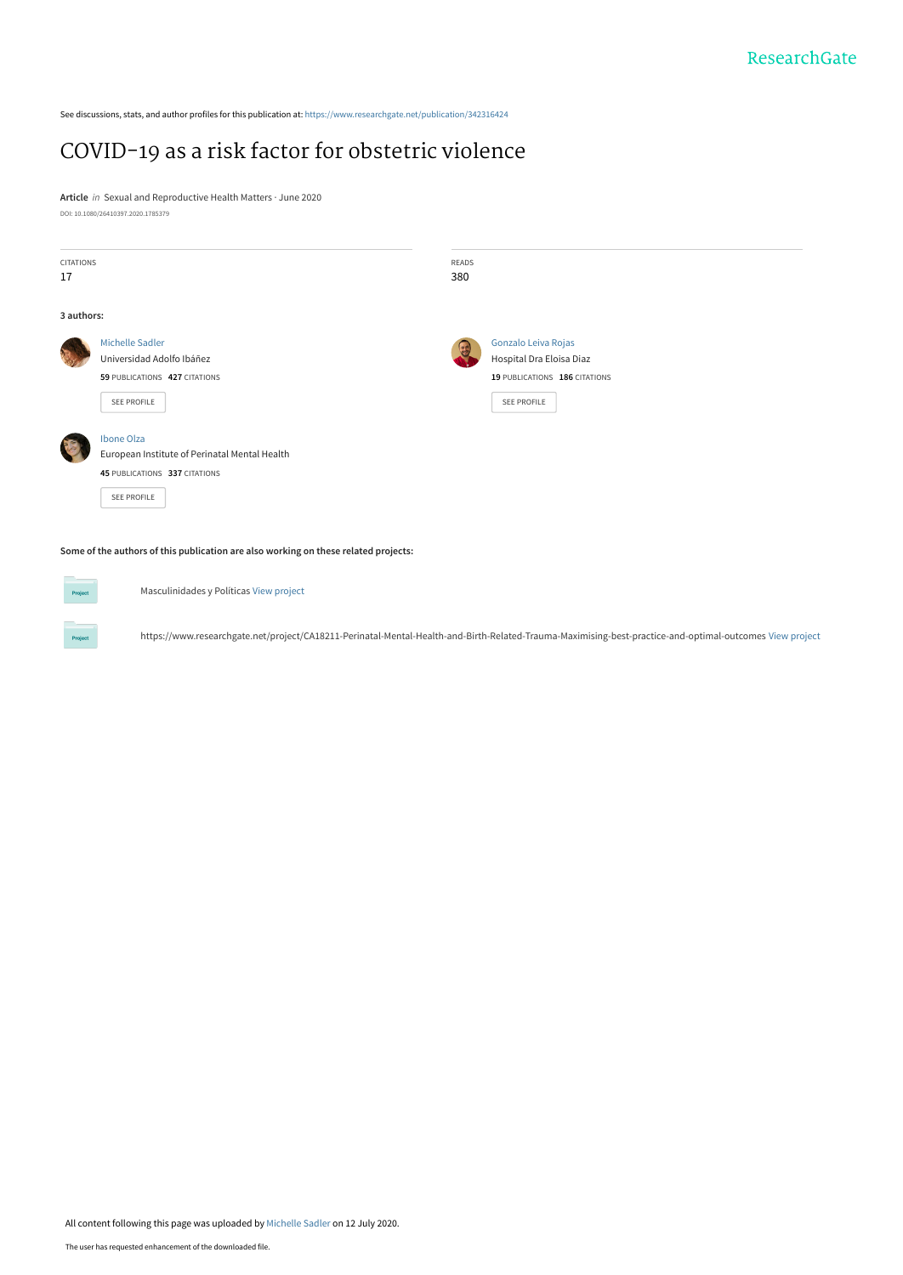See discussions, stats, and author profiles for this publication at: [https://www.researchgate.net/publication/342316424](https://www.researchgate.net/publication/342316424_COVID-19_as_a_risk_factor_for_obstetric_violence?enrichId=rgreq-8582ba2c84912099bec29f5ffd086830-XXX&enrichSource=Y292ZXJQYWdlOzM0MjMxNjQyNDtBUzo5MTI0ODM1OTg0ODc1NTJAMTU5NDU2NDQ1MTI2MA%3D%3D&el=1_x_2&_esc=publicationCoverPdf)

### [COVID-19 as a risk factor for obstetric violence](https://www.researchgate.net/publication/342316424_COVID-19_as_a_risk_factor_for_obstetric_violence?enrichId=rgreq-8582ba2c84912099bec29f5ffd086830-XXX&enrichSource=Y292ZXJQYWdlOzM0MjMxNjQyNDtBUzo5MTI0ODM1OTg0ODc1NTJAMTU5NDU2NDQ1MTI2MA%3D%3D&el=1_x_3&_esc=publicationCoverPdf)

**Article** in Sexual and Reproductive Health Matters · June 2020 DOI: 10.1080/26410397.2020.1785379

| <b>CITATIONS</b><br>17 |                                               | READS<br>380 |                               |
|------------------------|-----------------------------------------------|--------------|-------------------------------|
|                        |                                               |              |                               |
| 3 authors:             |                                               |              |                               |
|                        | <b>Michelle Sadler</b>                        |              | Gonzalo Leiva Rojas           |
|                        | Universidad Adolfo Ibáñez                     |              | Hospital Dra Eloisa Diaz      |
|                        | 59 PUBLICATIONS 427 CITATIONS                 |              | 19 PUBLICATIONS 186 CITATIONS |
|                        | SEE PROFILE                                   |              | SEE PROFILE                   |
|                        | Ibone Olza                                    |              |                               |
|                        | European Institute of Perinatal Mental Health |              |                               |
|                        | 45 PUBLICATIONS 337 CITATIONS                 |              |                               |
|                        | SEE PROFILE                                   |              |                               |

**Some of the authors of this publication are also working on these related projects:**



Masculinidades y Políticas [View project](https://www.researchgate.net/project/Masculinidades-y-Politicas?enrichId=rgreq-8582ba2c84912099bec29f5ffd086830-XXX&enrichSource=Y292ZXJQYWdlOzM0MjMxNjQyNDtBUzo5MTI0ODM1OTg0ODc1NTJAMTU5NDU2NDQ1MTI2MA%3D%3D&el=1_x_9&_esc=publicationCoverPdf)

https://www.researchgate.net/project/CA18211-Perinatal-Mental-Health-and-Birth-Related-Trauma-Maximising-best-practice-and-optimal-outcomes [View project](https://www.researchgate.net/project/https-wwwresearchgatenet-project-CA18211-Perinatal-Mental-Health-and-Birth-Related-Trauma-Maximising-best-practice-and-optimal-outcomes?enrichId=rgreq-8582ba2c84912099bec29f5ffd086830-XXX&enrichSource=Y292ZXJQYWdlOzM0MjMxNjQyNDtBUzo5MTI0ODM1OTg0ODc1NTJAMTU5NDU2NDQ1MTI2MA%3D%3D&el=1_x_9&_esc=publicationCoverPdf)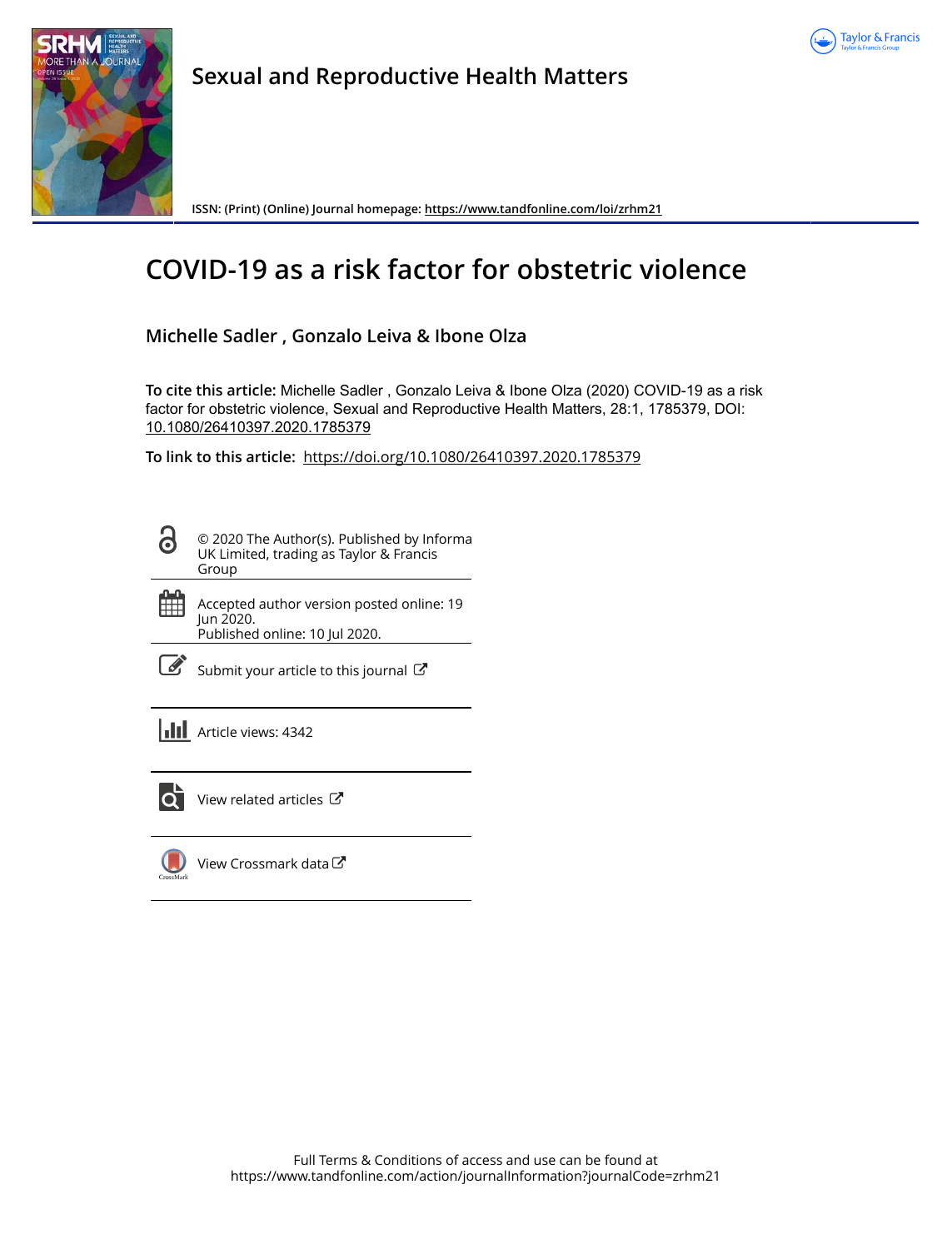



**Sexual and Reproductive Health Matters**

**ISSN: (Print) (Online) Journal homepage:<https://www.tandfonline.com/loi/zrhm21>**

# **COVID-19 as a risk factor for obstetric violence**

### **Michelle Sadler , Gonzalo Leiva & Ibone Olza**

**To cite this article:** Michelle Sadler , Gonzalo Leiva & Ibone Olza (2020) COVID-19 as a risk factor for obstetric violence, Sexual and Reproductive Health Matters, 28:1, 1785379, DOI: [10.1080/26410397.2020.1785379](https://www.tandfonline.com/action/showCitFormats?doi=10.1080/26410397.2020.1785379)

**To link to this article:** <https://doi.org/10.1080/26410397.2020.1785379>

© 2020 The Author(s). Published by Informa ര UK Limited, trading as Taylor & Francis Group

曲 Accepted author version posted online: 19 Jun 2020. Published online: 10 Jul 2020.

| ł<br>۰. |
|---------|

[Submit your article to this journal](https://www.tandfonline.com/action/authorSubmission?journalCode=zrhm21&show=instructions)  $\mathbb{Z}$ 

**III** Article views: 4342



 $\overline{Q}$  [View related articles](https://www.tandfonline.com/doi/mlt/10.1080/26410397.2020.1785379)  $\overline{C}$ 



[View Crossmark data](http://crossmark.crossref.org/dialog/?doi=10.1080/26410397.2020.1785379&domain=pdf&date_stamp=2020-06-19)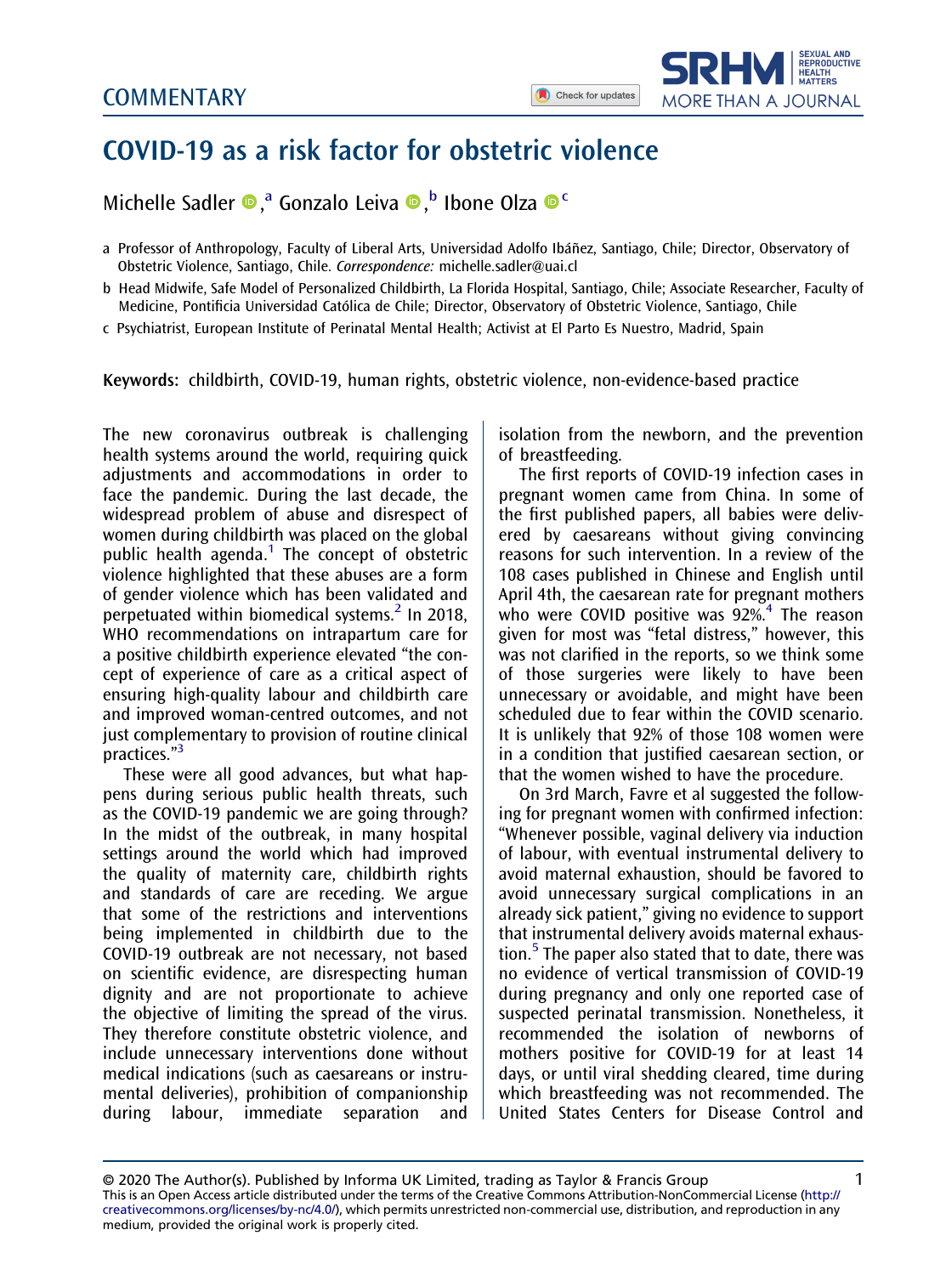

## <span id="page-2-0"></span>COVID-19 as a risk factor for obstetric violence

Michelle Sadler <sup>®</sup>,<sup>a</sup> Gonzalo Leiva <sup>®,b</sup> Ibone Olza <sup>® c</sup>

- a Professor of Anthropology, Faculty of Liberal Arts, Universidad Adolfo Ibáñez, Santiago, Chile; Director, Observatory of Obstetric Violence, Santiago, Chile. Correspondence: [michelle.sadler@uai.cl](mailto:michelle.sadler@uai.cl)
- b Head Midwife, Safe Model of Personalized Childbirth, La Florida Hospital, Santiago, Chile; Associate Researcher, Faculty of Medicine, Pontificia Universidad Católica de Chile; Director, Observatory of Obstetric Violence, Santiago, Chile
- c Psychiatrist, European Institute of Perinatal Mental Health; Activist at El Parto Es Nuestro, Madrid, Spain

Keywords: childbirth, COVID-19, human rights, obstetric violence, non-evidence-based practice

The new coronavirus outbreak is challenging health systems around the world, requiring quick adjustments and accommodations in order to face the pandemic. During the last decade, the widespread problem of abuse and disrespect of women during childbirth was placed on the global public health agenda.<sup>[1](#page-4-0)</sup> The concept of obstetric violence highlighted that these abuses are a form of gender violence which has been validated and perpetuated within biomedical systems.<sup>[2](#page-4-0)</sup> In 2018, WHO recommendations on intrapartum care for a positive childbirth experience elevated "the concept of experience of care as a critical aspect of ensuring high-quality labour and childbirth care and improved woman-centred outcomes, and not just complementary to provision of routine clinical ,<br>practices."<sup>[3](#page-4-0)</sup>

These were all good advances, but what happens during serious public health threats, such as the COVID-19 pandemic we are going through? In the midst of the outbreak, in many hospital settings around the world which had improved the quality of maternity care, childbirth rights and standards of care are receding. We argue that some of the restrictions and interventions being implemented in childbirth due to the COVID-19 outbreak are not necessary, not based on scientific evidence, are disrespecting human dignity and are not proportionate to achieve the objective of limiting the spread of the virus. They therefore constitute obstetric violence, and include unnecessary interventions done without medical indications (such as caesareans or instrumental deliveries), prohibition of companionship during labour, immediate separation and

isolation from the newborn, and the prevention of breastfeeding.

The first reports of COVID-19 infection cases in pregnant women came from China. In some of the first published papers, all babies were delivered by caesareans without giving convincing reasons for such intervention. In a review of the 108 cases published in Chinese and English until April 4th, the caesarean rate for pregnant mothers who were COVID positive was  $92\%$ <sup>[4](#page-4-0)</sup> The reason given for most was "fetal distress," however, this was not clarified in the reports, so we think some of those surgeries were likely to have been unnecessary or avoidable, and might have been scheduled due to fear within the COVID scenario. It is unlikely that 92% of those 108 women were in a condition that justified caesarean section, or that the women wished to have the procedure.

On 3rd March, Favre et al suggested the following for pregnant women with confirmed infection: "Whenever possible, vaginal delivery via induction of labour, with eventual instrumental delivery to avoid maternal exhaustion, should be favored to avoid unnecessary surgical complications in an already sick patient," giving no evidence to support that instrumental delivery avoids maternal exhaustion.[5](#page-4-0) The paper also stated that to date, there was no evidence of vertical transmission of COVID-19 during pregnancy and only one reported case of suspected perinatal transmission. Nonetheless, it recommended the isolation of newborns of mothers positive for COVID-19 for at least 14 days, or until viral shedding cleared, time during which breastfeeding was not recommended. The United States Centers for Disease Control and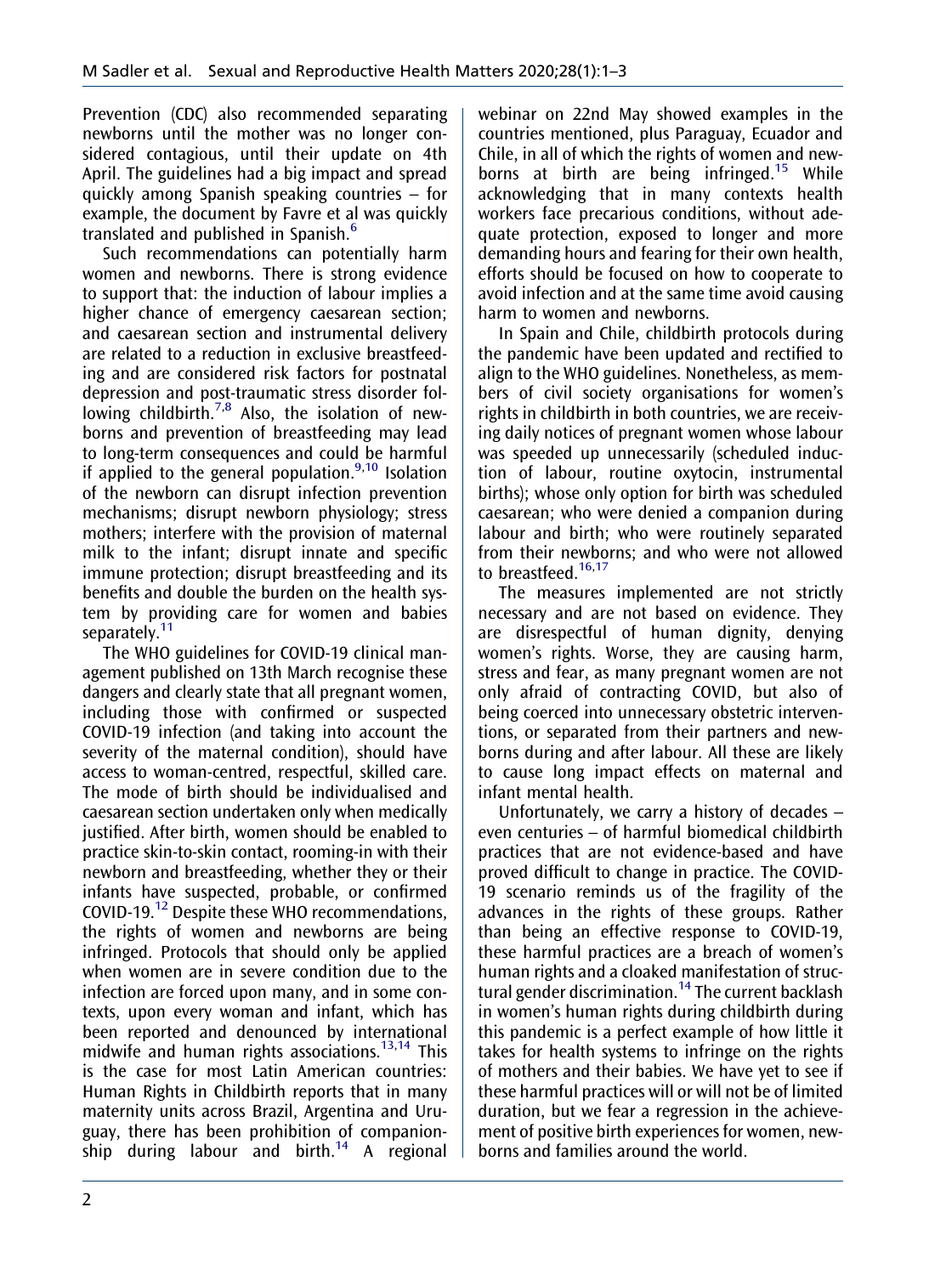<span id="page-3-0"></span>Prevention (CDC) also recommended separating newborns until the mother was no longer considered contagious, until their update on 4th April. The guidelines had a big impact and spread quickly among Spanish speaking countries – for example, the document by Favre et al was quickly translated and published in Spanish.<sup>[6](#page-4-0)</sup>

Such recommendations can potentially harm women and newborns. There is strong evidence to support that: the induction of labour implies a higher chance of emergency caesarean section; and caesarean section and instrumental delivery are related to a reduction in exclusive breastfeeding and are considered risk factors for postnatal depression and post-traumatic stress disorder fol-lowing childbirth.<sup>[7](#page-4-0),[8](#page-4-0)</sup> Also, the isolation of newborns and prevention of breastfeeding may lead to long-term consequences and could be harmful if applied to the general population.<sup>[9,10](#page-4-0)</sup> Isolation of the newborn can disrupt infection prevention mechanisms; disrupt newborn physiology; stress mothers; interfere with the provision of maternal milk to the infant; disrupt innate and specific immune protection; disrupt breastfeeding and its benefits and double the burden on the health system by providing care for women and babies separately.<sup>11</sup>

The WHO guidelines for COVID-19 clinical management published on 13th March recognise these dangers and clearly state that all pregnant women, including those with confirmed or suspected COVID-19 infection (and taking into account the severity of the maternal condition), should have access to woman-centred, respectful, skilled care. The mode of birth should be individualised and caesarean section undertaken only when medically justified. After birth, women should be enabled to practice skin-to-skin contact, rooming-in with their newborn and breastfeeding, whether they or their infants have suspected, probable, or confirmed COVID-19.[12](#page-4-0) Despite these WHO recommendations, the rights of women and newborns are being infringed. Protocols that should only be applied when women are in severe condition due to the infection are forced upon many, and in some contexts, upon every woman and infant, which has been reported and denounced by international midwife and human rights associations.<sup>[13,14](#page-4-0)</sup> This is the case for most Latin American countries: Human Rights in Childbirth reports that in many maternity units across Brazil, Argentina and Uruguay, there has been prohibition of companion-ship during labour and birth.<sup>[14](#page-4-0)</sup> A regional

webinar on 22nd May showed examples in the countries mentioned, plus Paraguay, Ecuador and Chile, in all of which the rights of women and new-borns at birth are being infringed.<sup>[15](#page-4-0)</sup> While acknowledging that in many contexts health workers face precarious conditions, without adequate protection, exposed to longer and more demanding hours and fearing for their own health, efforts should be focused on how to cooperate to avoid infection and at the same time avoid causing harm to women and newborns.

In Spain and Chile, childbirth protocols during the pandemic have been updated and rectified to align to the WHO guidelines. Nonetheless, as members of civil society organisations for women's rights in childbirth in both countries, we are receiving daily notices of pregnant women whose labour was speeded up unnecessarily (scheduled induction of labour, routine oxytocin, instrumental births); whose only option for birth was scheduled caesarean; who were denied a companion during labour and birth; who were routinely separated from their newborns; and who were not allowed to breastfeed.<sup>[16,17](#page-4-0)</sup>

The measures implemented are not strictly necessary and are not based on evidence. They are disrespectful of human dignity, denying women's rights. Worse, they are causing harm, stress and fear, as many pregnant women are not only afraid of contracting COVID, but also of being coerced into unnecessary obstetric interventions, or separated from their partners and newborns during and after labour. All these are likely to cause long impact effects on maternal and infant mental health.

Unfortunately, we carry a history of decades – even centuries – of harmful biomedical childbirth practices that are not evidence-based and have proved difficult to change in practice. The COVID-19 scenario reminds us of the fragility of the advances in the rights of these groups. Rather than being an effective response to COVID-19, these harmful practices are a breach of women's human rights and a cloaked manifestation of struc-tural gender discrimination.<sup>[14](#page-4-0)</sup> The current backlash in women's human rights during childbirth during this pandemic is a perfect example of how little it takes for health systems to infringe on the rights of mothers and their babies. We have yet to see if these harmful practices will or will not be of limited duration, but we fear a regression in the achievement of positive birth experiences for women, newborns and families around the world.